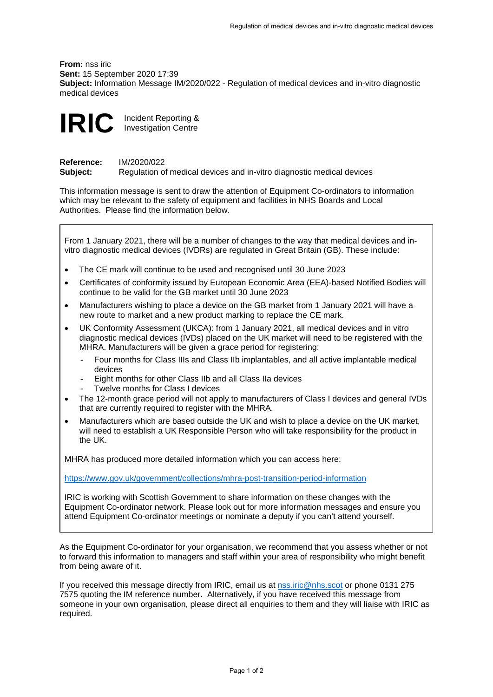**From:** nss iric **Sent:** 15 September 2020 17:39 **Subject:** Information Message IM/2020/022 - Regulation of medical devices and in-vitro diagnostic medical devices



**Reference:** IM/2020/022<br> **Subject:** Regulation of **Subject:** Regulation of medical devices and in-vitro diagnostic medical devices

This information message is sent to draw the attention of Equipment Co-ordinators to information which may be relevant to the safety of equipment and facilities in NHS Boards and Local Authorities. Please find the information below.



If you received this message directly from IRIC, email us at [nss.iric@nhs.scot](mailto:nss.iric@nhs.scot) or phone 0131 275 7575 quoting the IM reference number.Alternatively, if you have received this message from someone in your own organisation, please direct all enquiries to them and they will liaise with IRIC as required.